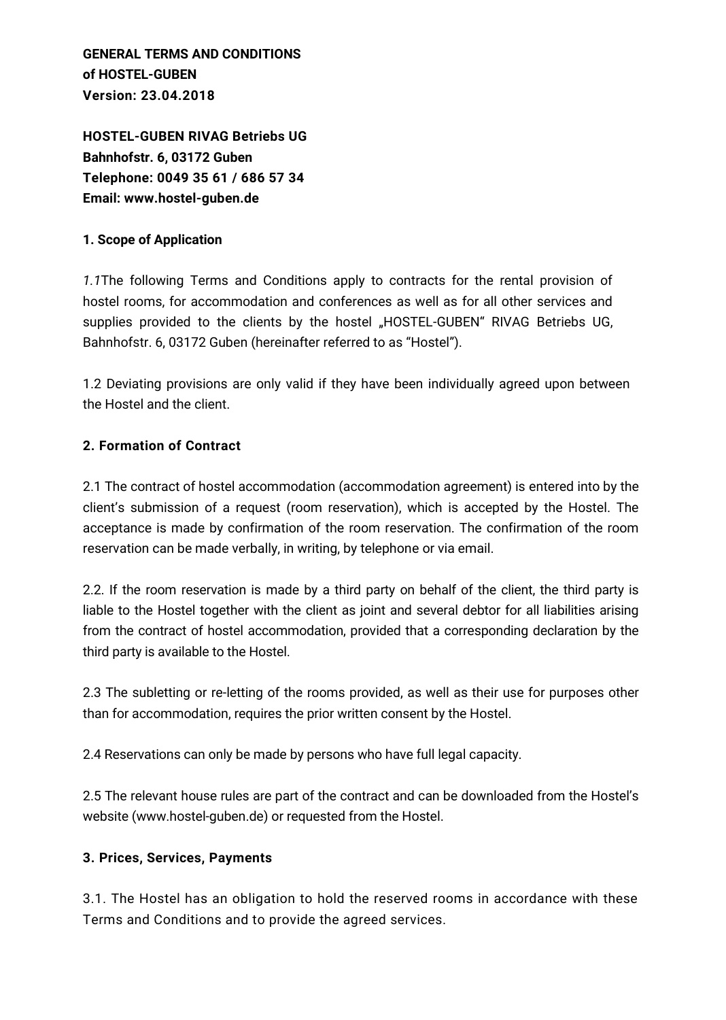**GENERAL TERMS AND CONDITIONS of HOSTEL-GUBEN Version: 23.04.2018**

**HOSTEL-GUBEN RIVAG Betriebs UG Bahnhofstr. 6, 03172 Guben Telephone: 0049 35 61 / 686 57 34 Email: www.hostel-guben.de**

#### **1. Scope of Application**

*1.1*The following Terms and Conditions apply to contracts for the rental provision of hostel rooms, for accommodation and conferences as well as for all other services and supplies provided to the clients by the hostel "HOSTEL-GUBEN" RIVAG Betriebs UG, Bahnhofstr. 6, 03172 Guben (hereinafter referred to as "Hostel").

1.2 Deviating provisions are only valid if they have been individually agreed upon between the Hostel and the client.

#### **2. Formation of Contract**

2.1 The contract of hostel accommodation (accommodation agreement) is entered into by the client's submission of a request (room reservation), which is accepted by the Hostel. The acceptance is made by confirmation of the room reservation. The confirmation of the room reservation can be made verbally, in writing, by telephone or via email.

2.2. If the room reservation is made by a third party on behalf of the client, the third party is liable to the Hostel together with the client as joint and several debtor for all liabilities arising from the contract of hostel accommodation, provided that a corresponding declaration by the third party is available to the Hostel.

2.3 The subletting or re-letting of the rooms provided, as well as their use for purposes other than for accommodation, requires the prior written consent by the Hostel.

2.4 Reservations can only be made by persons who have full legal capacity.

2.5 The relevant house rules are part of the contract and can be downloaded from the Hostel's website (www.hostel-guben.de) or requested from the Hostel.

#### **3. Prices, Services, Payments**

3.1. The Hostel has an obligation to hold the reserved rooms in accordance with these Terms and Conditions and to provide the agreed services.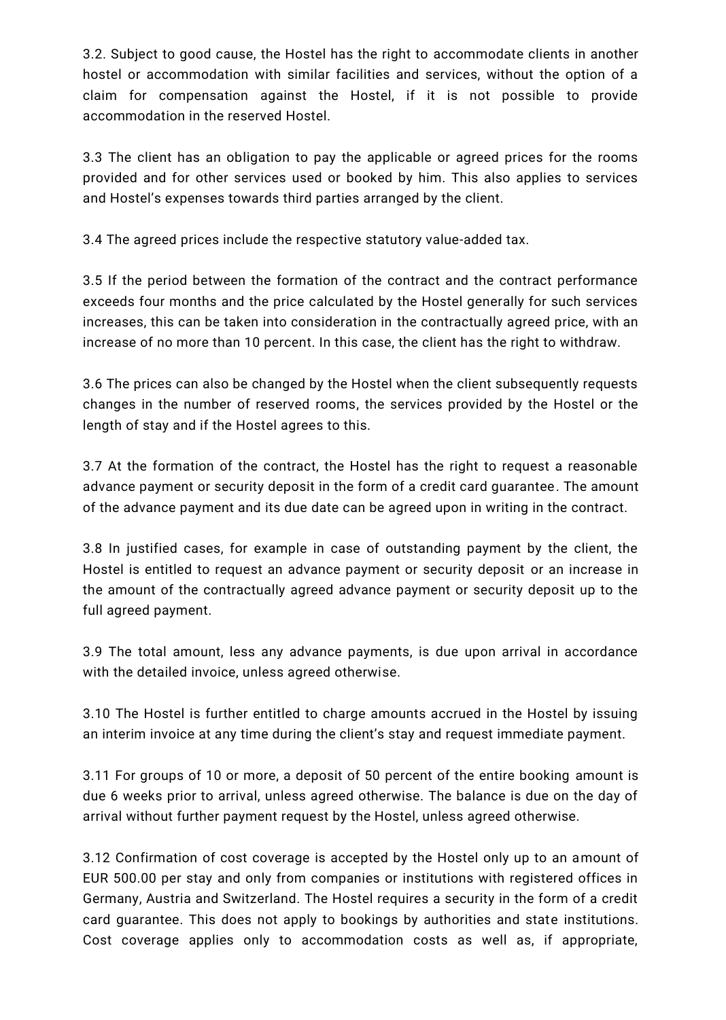3.2. Subject to good cause, the Hostel has the right to accommodate clients in another hostel or accommodation with similar facilities and services, without the option of a claim for compensation against the Hostel, if it is not possible to provide accommodation in the reserved Hostel.

3.3 The client has an obligation to pay the applicable or agreed prices for the rooms provided and for other services used or booked by him. This also applies to services and Hostel's expenses towards third parties arranged by the client.

3.4 The agreed prices include the respective statutory value-added tax.

3.5 If the period between the formation of the contract and the contract performance exceeds four months and the price calculated by the Hostel generally for such services increases, this can be taken into consideration in the contractually agreed price, with an increase of no more than 10 percent. In this case, the client has the right to withdraw.

3.6 The prices can also be changed by the Hostel when the client subsequently requests changes in the number of reserved rooms, the services provided by the Hostel or the length of stay and if the Hostel agrees to this.

3.7 At the formation of the contract, the Hostel has the right to request a reasonable advance payment or security deposit in the form of a credit card guarantee. The amount of the advance payment and its due date can be agreed upon in writing in the contract.

3.8 In justified cases, for example in case of outstanding payment by the client, the Hostel is entitled to request an advance payment or security deposit or an increase in the amount of the contractually agreed advance payment or security deposit up to the full agreed payment.

3.9 The total amount, less any advance payments, is due upon arrival in accordance with the detailed invoice, unless agreed otherwise.

3.10 The Hostel is further entitled to charge amounts accrued in the Hostel by issuing an interim invoice at any time during the client's stay and request immediate payment.

3.11 For groups of 10 or more, a deposit of 50 percent of the entire booking amount is due 6 weeks prior to arrival, unless agreed otherwise. The balance is due on the day of arrival without further payment request by the Hostel, unless agreed otherwise.

3.12 Confirmation of cost coverage is accepted by the Hostel only up to an amount of EUR 500.00 per stay and only from companies or institutions with registered offices in Germany, Austria and Switzerland. The Hostel requires a security in the form of a credit card guarantee. This does not apply to bookings by authorities and state institutions. Cost coverage applies only to accommodation costs as well as, if appropriate,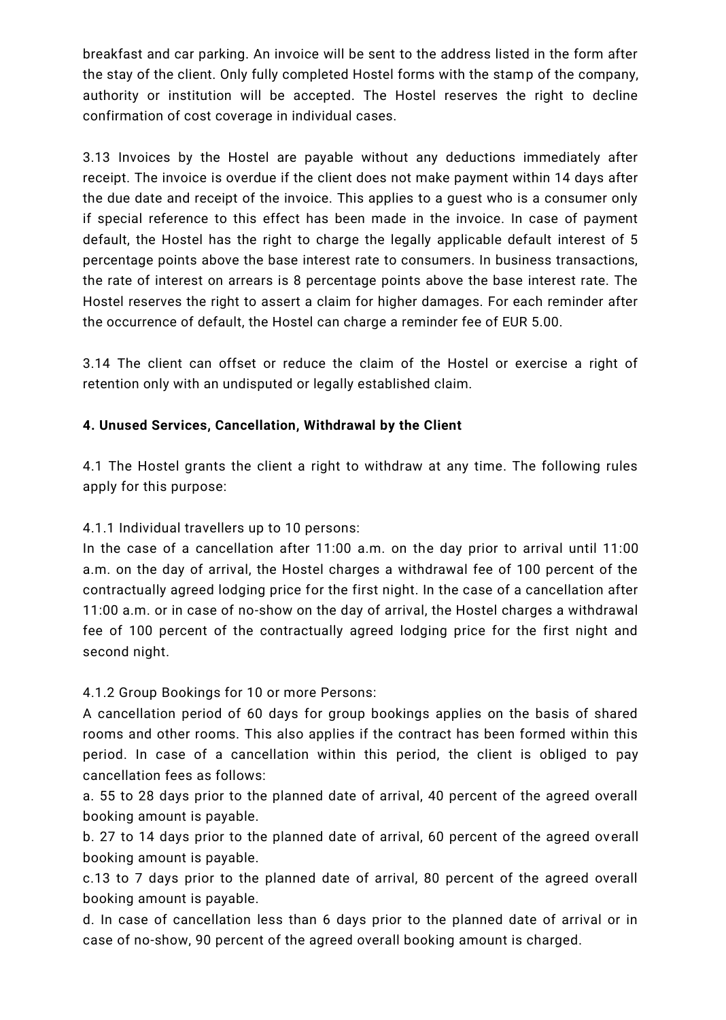breakfast and car parking. An invoice will be sent to the address listed in the form after the stay of the client. Only fully completed Hostel forms with the stamp of the company, authority or institution will be accepted. The Hostel reserves the right to decline confirmation of cost coverage in individual cases.

3.13 Invoices by the Hostel are payable without any deductions immediately after receipt. The invoice is overdue if the client does not make payment within 14 days after the due date and receipt of the invoice. This applies to a guest who is a consumer only if special reference to this effect has been made in the invoice. In case of payment default, the Hostel has the right to charge the legally applicable default interest of 5 percentage points above the base interest rate to consumers. In business transactions, the rate of interest on arrears is 8 percentage points above the base interest rate. The Hostel reserves the right to assert a claim for higher damages. For each reminder after the occurrence of default, the Hostel can charge a reminder fee of EUR 5.00.

3.14 The client can offset or reduce the claim of the Hostel or exercise a right of retention only with an undisputed or legally established claim.

### **4. Unused Services, Cancellation, Withdrawal by the Client**

4.1 The Hostel grants the client a right to withdraw at any time. The following rules apply for this purpose:

4.1.1 Individual travellers up to 10 persons:

In the case of a cancellation after 11:00 a.m. on the day prior to arrival until 11:00 a.m. on the day of arrival, the Hostel charges a withdrawal fee of 100 percent of the contractually agreed lodging price for the first night. In the case of a cancellation after 11:00 a.m. or in case of no-show on the day of arrival, the Hostel charges a withdrawal fee of 100 percent of the contractually agreed lodging price for the first night and second night.

4.1.2 Group Bookings for 10 or more Persons:

A cancellation period of 60 days for group bookings applies on the basis of shared rooms and other rooms. This also applies if the contract has been formed within this period. In case of a cancellation within this period, the client is obliged to pay cancellation fees as follows:

a. 55 to 28 days prior to the planned date of arrival, 40 percent of the agreed overall booking amount is payable.

b. 27 to 14 days prior to the planned date of arrival, 60 percent of the agreed overall booking amount is payable.

c.13 to 7 days prior to the planned date of arrival, 80 percent of the agreed overall booking amount is payable.

d. In case of cancellation less than 6 days prior to the planned date of arrival or in case of no-show, 90 percent of the agreed overall booking amount is charged.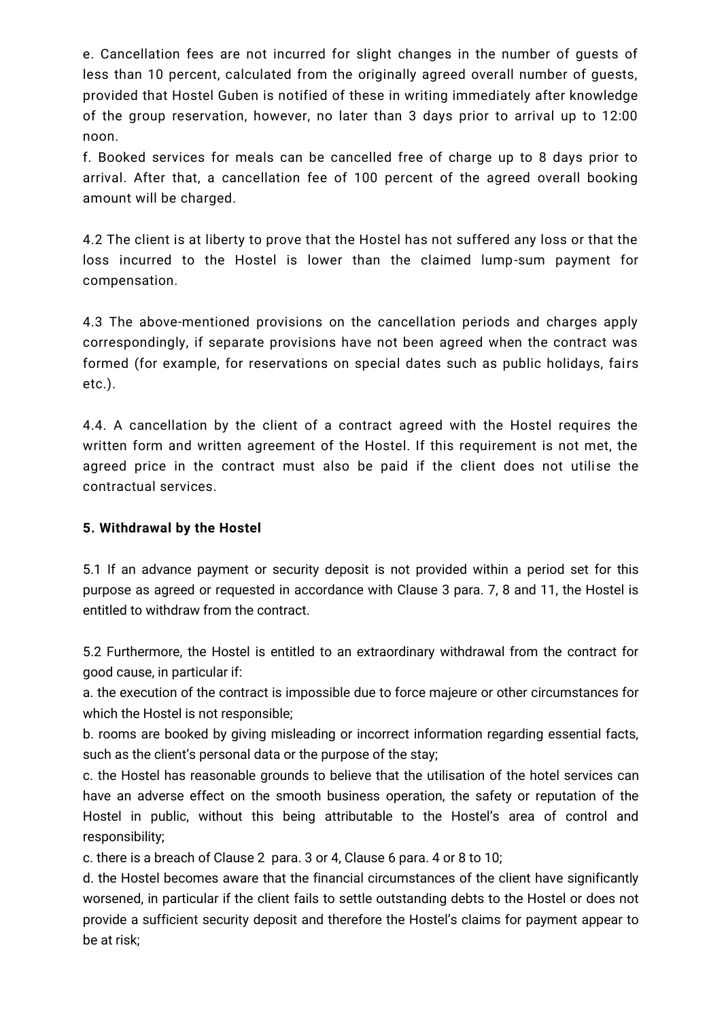e. Cancellation fees are not incurred for slight changes in the number of guests of less than 10 percent, calculated from the originally agreed overall number of guests, provided that Hostel Guben is notified of these in writing immediately after knowledge of the group reservation, however, no later than 3 days prior to arrival up to 12:00 noon.

f. Booked services for meals can be cancelled free of charge up to 8 days prior to arrival. After that, a cancellation fee of 100 percent of the agreed overall booking amount will be charged.

4.2 The client is at liberty to prove that the Hostel has not suffered any loss or that the loss incurred to the Hostel is lower than the claimed lump-sum payment for compensation.

4.3 The above-mentioned provisions on the cancellation periods and charges apply correspondingly, if separate provisions have not been agreed when the contract was formed (for example, for reservations on special dates such as public holidays, fairs etc.).

4.4. A cancellation by the client of a contract agreed with the Hostel requires the written form and written agreement of the Hostel. If this requirement is not met, the agreed price in the contract must also be paid if the client does not utilise the contractual services.

#### **5. Withdrawal by the Hostel**

5.1 If an advance payment or security deposit is not provided within a period set for this purpose as agreed or requested in accordance with Clause 3 para. 7, 8 and 11, the Hostel is entitled to withdraw from the contract.

5.2 Furthermore, the Hostel is entitled to an extraordinary withdrawal from the contract for good cause, in particular if:

a. the execution of the contract is impossible due to force majeure or other circumstances for which the Hostel is not responsible;

b. rooms are booked by giving misleading or incorrect information regarding essential facts, such as the client's personal data or the purpose of the stay;

c. the Hostel has reasonable grounds to believe that the utilisation of the hotel services can have an adverse effect on the smooth business operation, the safety or reputation of the Hostel in public, without this being attributable to the Hostel's area of control and responsibility;

c. there is a breach of Clause 2 para. 3 or 4, Clause 6 para. 4 or 8 to 10;

d. the Hostel becomes aware that the financial circumstances of the client have significantly worsened, in particular if the client fails to settle outstanding debts to the Hostel or does not provide a sufficient security deposit and therefore the Hostel's claims for payment appear to be at risk;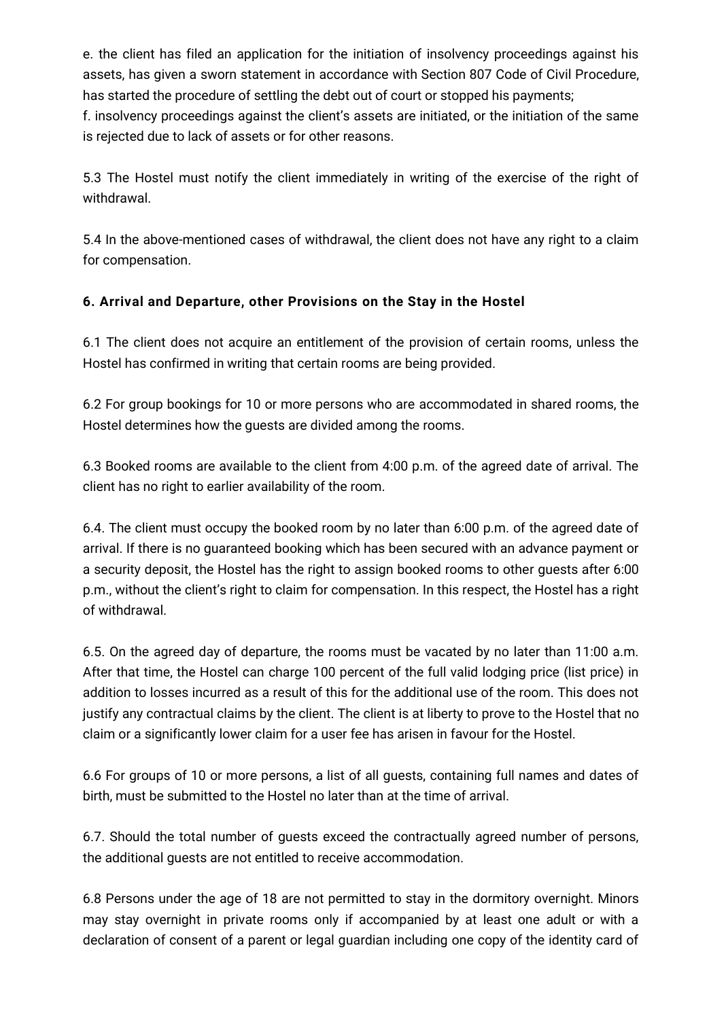e. the client has filed an application for the initiation of insolvency proceedings against his assets, has given a sworn statement in accordance with Section 807 Code of Civil Procedure, has started the procedure of settling the debt out of court or stopped his payments; f. insolvency proceedings against the client's assets are initiated, or the initiation of the same is rejected due to lack of assets or for other reasons.

5.3 The Hostel must notify the client immediately in writing of the exercise of the right of withdrawal.

5.4 In the above-mentioned cases of withdrawal, the client does not have any right to a claim for compensation.

# **6. Arrival and Departure, other Provisions on the Stay in the Hostel**

6.1 The client does not acquire an entitlement of the provision of certain rooms, unless the Hostel has confirmed in writing that certain rooms are being provided.

6.2 For group bookings for 10 or more persons who are accommodated in shared rooms, the Hostel determines how the guests are divided among the rooms.

6.3 Booked rooms are available to the client from 4:00 p.m. of the agreed date of arrival. The client has no right to earlier availability of the room.

6.4. The client must occupy the booked room by no later than 6:00 p.m. of the agreed date of arrival. If there is no guaranteed booking which has been secured with an advance payment or a security deposit, the Hostel has the right to assign booked rooms to other guests after 6:00 p.m., without the client's right to claim for compensation. In this respect, the Hostel has a right of withdrawal.

6.5. On the agreed day of departure, the rooms must be vacated by no later than 11:00 a.m. After that time, the Hostel can charge 100 percent of the full valid lodging price (list price) in addition to losses incurred as a result of this for the additional use of the room. This does not justify any contractual claims by the client. The client is at liberty to prove to the Hostel that no claim or a significantly lower claim for a user fee has arisen in favour for the Hostel.

6.6 For groups of 10 or more persons, a list of all guests, containing full names and dates of birth, must be submitted to the Hostel no later than at the time of arrival.

6.7. Should the total number of guests exceed the contractually agreed number of persons, the additional guests are not entitled to receive accommodation.

6.8 Persons under the age of 18 are not permitted to stay in the dormitory overnight. Minors may stay overnight in private rooms only if accompanied by at least one adult or with a declaration of consent of a parent or legal guardian including one copy of the identity card of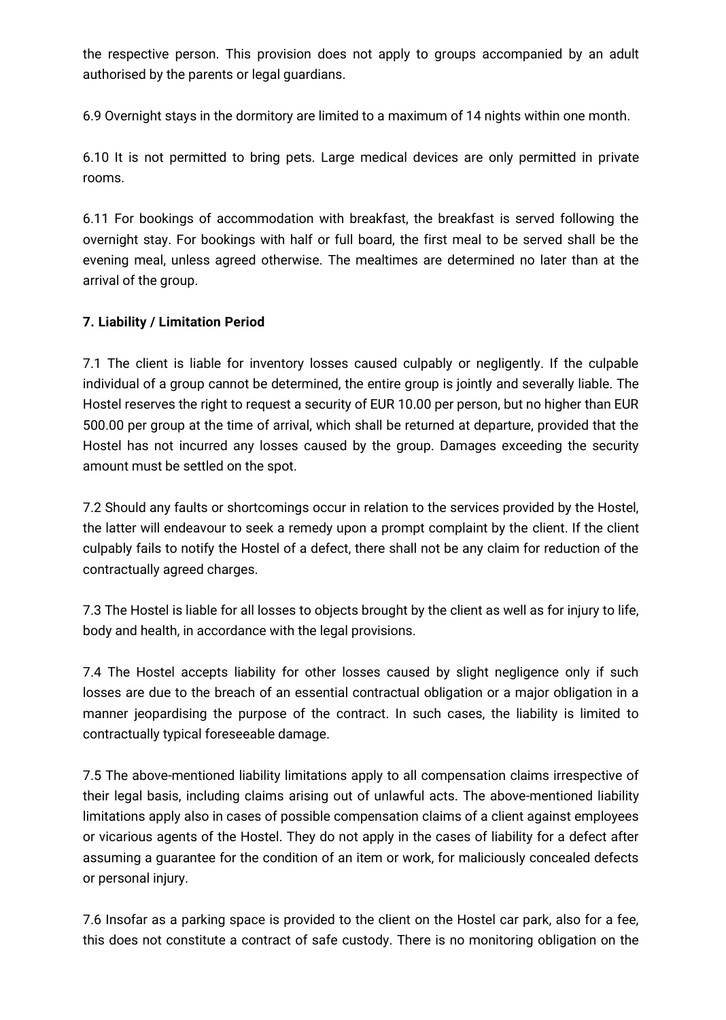the respective person. This provision does not apply to groups accompanied by an adult authorised by the parents or legal guardians.

6.9 Overnight stays in the dormitory are limited to a maximum of 14 nights within one month.

6.10 It is not permitted to bring pets. Large medical devices are only permitted in private rooms.

6.11 For bookings of accommodation with breakfast, the breakfast is served following the overnight stay. For bookings with half or full board, the first meal to be served shall be the evening meal, unless agreed otherwise. The mealtimes are determined no later than at the arrival of the group.

## **7. Liability / Limitation Period**

7.1 The client is liable for inventory losses caused culpably or negligently. If the culpable individual of a group cannot be determined, the entire group is jointly and severally liable. The Hostel reserves the right to request a security of EUR 10.00 per person, but no higher than EUR 500.00 per group at the time of arrival, which shall be returned at departure, provided that the Hostel has not incurred any losses caused by the group. Damages exceeding the security amount must be settled on the spot.

7.2 Should any faults or shortcomings occur in relation to the services provided by the Hostel, the latter will endeavour to seek a remedy upon a prompt complaint by the client. If the client culpably fails to notify the Hostel of a defect, there shall not be any claim for reduction of the contractually agreed charges.

7.3 The Hostel is liable for all losses to objects brought by the client as well as for injury to life, body and health, in accordance with the legal provisions.

7.4 The Hostel accepts liability for other losses caused by slight negligence only if such losses are due to the breach of an essential contractual obligation or a major obligation in a manner jeopardising the purpose of the contract. In such cases, the liability is limited to contractually typical foreseeable damage.

7.5 The above-mentioned liability limitations apply to all compensation claims irrespective of their legal basis, including claims arising out of unlawful acts. The above-mentioned liability limitations apply also in cases of possible compensation claims of a client against employees or vicarious agents of the Hostel. They do not apply in the cases of liability for a defect after assuming a guarantee for the condition of an item or work, for maliciously concealed defects or personal injury.

7.6 Insofar as a parking space is provided to the client on the Hostel car park, also for a fee, this does not constitute a contract of safe custody. There is no monitoring obligation on the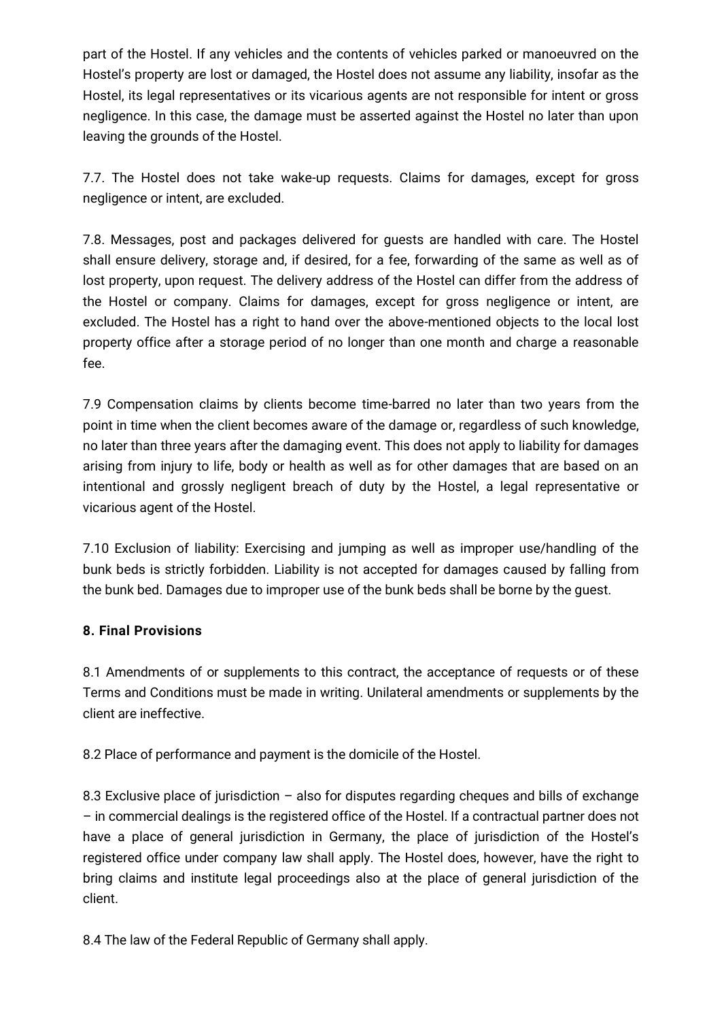part of the Hostel. If any vehicles and the contents of vehicles parked or manoeuvred on the Hostel's property are lost or damaged, the Hostel does not assume any liability, insofar as the Hostel, its legal representatives or its vicarious agents are not responsible for intent or gross negligence. In this case, the damage must be asserted against the Hostel no later than upon leaving the grounds of the Hostel.

7.7. The Hostel does not take wake-up requests. Claims for damages, except for gross negligence or intent, are excluded.

7.8. Messages, post and packages delivered for guests are handled with care. The Hostel shall ensure delivery, storage and, if desired, for a fee, forwarding of the same as well as of lost property, upon request. The delivery address of the Hostel can differ from the address of the Hostel or company. Claims for damages, except for gross negligence or intent, are excluded. The Hostel has a right to hand over the above-mentioned objects to the local lost property office after a storage period of no longer than one month and charge a reasonable fee.

7.9 Compensation claims by clients become time-barred no later than two years from the point in time when the client becomes aware of the damage or, regardless of such knowledge, no later than three years after the damaging event. This does not apply to liability for damages arising from injury to life, body or health as well as for other damages that are based on an intentional and grossly negligent breach of duty by the Hostel, a legal representative or vicarious agent of the Hostel.

7.10 Exclusion of liability: Exercising and jumping as well as improper use/handling of the bunk beds is strictly forbidden. Liability is not accepted for damages caused by falling from the bunk bed. Damages due to improper use of the bunk beds shall be borne by the guest.

## **8. Final Provisions**

8.1 Amendments of or supplements to this contract, the acceptance of requests or of these Terms and Conditions must be made in writing. Unilateral amendments or supplements by the client are ineffective.

8.2 Place of performance and payment is the domicile of the Hostel.

8.3 Exclusive place of jurisdiction – also for disputes regarding cheques and bills of exchange – in commercial dealings is the registered office of the Hostel. If a contractual partner does not have a place of general jurisdiction in Germany, the place of jurisdiction of the Hostel's registered office under company law shall apply. The Hostel does, however, have the right to bring claims and institute legal proceedings also at the place of general jurisdiction of the client.

8.4 The law of the Federal Republic of Germany shall apply.